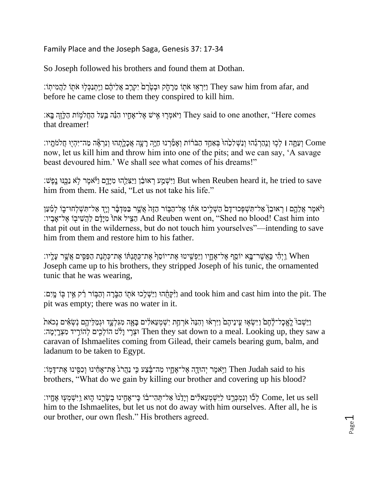Family Place and the Joseph Saga, Genesis 37: 17-34

So Joseph followed his brothers and found them at Dothan.

ן יִיִּרְאִוּ אֹתוֹ מֵרחָק וּבְטֶׂרֶם יִקְרֵב אֲלִיהֶם וַיֵּתְנַכְּלוּ אֹתוֹ לַהֲמִיתוֹ: They saw him from afar, and before he came close to them they conspired to kill him.

וַיֹּאמְרָוּ אֵישׁ אֱל־אַחֶיו הָנֵּה בֵּעֲל הַחֲלמִוֹת הַלֵּזֶה בַּאַ׃ They said to one another, "Here comes that dreamer!

 Come וְ עַתָ ַ֣ ה **׀** לְכַ֣ ּו וְ נִַּֽהַרְ גֵֵּ֗ הּו וְנַׁשְ לִּכֵֶ֙ הּוֶ֙ בְ אַ חַ ַ֣ד הַבֹרֶ֔ ֹות וְ אָ מַַ֕ רְ נּו חַיָ ֥ה רָ עָ ֖ה אֲכָלָ ֹ֑תְ הּו וְ נִּרְ אֶַ֕ ה מַ ה־יִּהְ י֖ ּו חֲֹלמֹתִָּֽ יו׃ now, let us kill him and throw him into one of the pits; and we can say, 'A savage beast devoured him.' We shall see what comes of his dreams!"

נִיִּשְׁמֵע רְאוּבֵׂן וַיַּצְלֵהוּ מִיַּדָם וַיוֹאמֵר לֹא נַכֵּנּוּ נַפָּשׁ: But when Reuben heard it, he tried to save him from them. He said, "Let us not take his life."

וַיֹּאמֶר אֲלֵהֱם ו רְאוּבֵן אַל־תִּשְׁפְּכוּ־דָם ֿהַשָׁלִיכוּ אֹתוֹ אֵל־הַבָּוֹר הַזֶּה אֲשֶׁר בַּמִּדְבָר וְיָד אַל־תִּשָׁלְחוּ־בָוֹ לִמַּעַן וויִ הַצִּיל אֹתוֹ מִיַּדָּם לַהֲשִׁיבִוּ אֵל־אֲבֵיו: And Reuben went on, "Shed no blood! Cast him into that pit out in the wilderness, but do not touch him yourselves"—intending to save him from them and restore him to his father.

ַיְהִי כַּאֲשֶׁר־בֵָא יוֹסֵף אֶל־אֶחֲיו וַיַּפְשִׁיטוּ אֶת־יוֹסֵף אֶת־כִּתַּנְתּוֹ אֶת־כָּתִׂנֵת הַפַּסִּים אַשֶׁר עַלִּיו: Joseph came up to his brothers, they stripped Joseph of his tunic, the ornamented tunic that he was wearing,

and took him and cast him into the pit. The הְּכֵּחֶהוּ וַיַּשְׁלֵכוּ אֹתְוֹ הַבְּׂרֶה וְהַבְּוֹר רֵׂק אֵין בִּוֹ מֵיִם: pit was empty; there was no water in it.

וַיֵּשְׁבוּ לֵאֱכָל־לֶחֶםֿ וַיִּשְׂאִוּ עֵינֵיהֶם וַיִּרְאוּ וְהִנֵּה אֹרְחַת יִשְׁמְעֵאלִים בַּאַה מִגְּלְעֵד וּגִמַלִּיהֵם נִשְׁאִים נִכֹּאת וּצְרֵי וַלְּט הוֹלְכִים לְהוֹרִיד מִצְרֵיְמֵה: Then they sat down to a meal. Looking up, they saw a caravan of Ishmaelites coming from Gilead, their camels bearing gum, balm, and ladanum to be taken to Egypt.

נִיֹּאמֶר יְהוּדָה אֱל־אֶחֱזִי מַה־בַּׂצַע כִּי נַהֲרֹגְ אֶת־אָחָינוּ וְכִפִּינוּ אֶת־דָּמְוֹ: Then Judah said to his brothers, "What do we gain by killing our brother and covering up his blood?

;יִשְׁמְעָוּ אֱחֻיו: (עִיטְמְעָוּ אֶחֲיו: t־אֲחֵינוּ בְשֶׂרֶנוּ הָוּא נֵיִּשְׁמְעִוּ אֶחֲיו come, let us sell him to the Ishmaelites, but let us not do away with him ourselves. After all, he is our brother, our own flesh." His brothers agreed.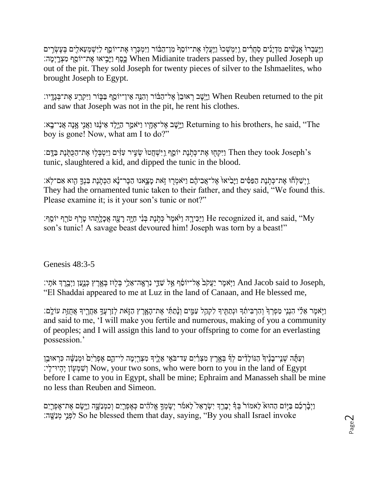וַיַּעֲבְרוּեְ אֲנַשָּׁיִם מִדְיַנִים סִתַּרִים וַיִּמְשָׁכוּ וַיַּעֲלוּ אֶת־יוֹסֵף וַיִּמְכָּרֶוּ אֶת־יוֹסֵף לַיִּשְׁמְעֵאלִים בִעֶשְׂרִים עסף וַיּבֵיאוּ אֶת־יוֹסֵף מִצְרִימֵה: When Midianite traders passed by, they pulled Joseph up out of the pit. They sold Joseph for twenty pieces of silver to the Ishmaelites, who brought Joseph to Egypt.

יו: When Reuben returned to the pit וַיִּשֵׁב רְאוּבֵןְ אֱל־הַבֹּוֹר וְהִנֵּה אֵין־יוֹסֵף בַּבְּוֹר וַיִּקְרַע אֶת־בְגֵדֵיו: and saw that Joseph was not in the pit, he rent his clothes.

יִי־בָא: Returning to his brothers, he said, "The נַיֶּטֶד אֵל־אֶחֶיו וַיֹּאמַר הַיֶּלֶד אֵינֶֽׂנּוּ וַאֲנִי אֲנִי־בָא boy is gone! Now, what am I to do?"

ן יִיּשְׁחֲטוּ שְׂעִיר עִזִּיִּם וַיִּטְבְּלִוּ אֶת־הַכְּתְּנֶת בַּדֵּם: Then they took Joseph's tunic, slaughtered a kid, and dipped the tunic in the blood.

וֵיִּשְׁלְחָׁוּ אֶת־כְּתֵׂנֶת הַפַּּסִּים וַיּּבִיּאוּ אֱל־אֲבִיהֶם וַיֹּאמְרֵוּ זָאת מִצְאֲנוּ הַכֶּר־נֹא הַכְּתִנֶת בְּנַדֱ הִוְא אֶם־לִּא׃ They had the ornamented tunic taken to their father, and they said, "We found this. Please examine it; is it your son's tunic or not?"

יֹתֵּף; וַיֹּאמֶר כְּתִׂנֶת בְּנִי חַיֵּה דָעֲה אֱכָלֵתְהוּ טַרִף יוֹסֵף; He recognized it, and said, "My son's tunic! A savage beast devoured him! Joseph was torn by a beast!"

Genesis 48:3-5

יִיֹּמֶֽה וַעֲקֹב<sup>ַ</sup> אֱל־יוֹסֵׂף אֵל שַׁדֵּי נִרְאֲה־אֶלֵי בְּלִוּז בְּאֱרֵץ כְּנֵעַן וַיִּבְרֵךְ אֹתֵי: And Jacob said to Joseph, "El Shaddai appeared to me at Luz in the land of Canaan, and He blessed me,

וַיִּאמֶר אֶלָּי הִנְנֵי מַפְרְךָּ וְהִרְבְּיתָךְ וְנָתַתְּיִךְ לָקְהָל עַמֵּים וְנַתַתָּי אֶת־הַאֲרֶץ הַזֵּאת לְזַרְעֲךָ אָחֲרֵיךָ אֲחָזֶת עֹוֹלֵם: and said to me, 'I will make you fertile and numerous, making of you a community of peoples; and I will assign this land to your offspring to come for an everlasting possession.'

וְ עַתָּ֫ה שְׁנֵי־בָנֶּ֫יִךְ הַנּוֹלָדִּים לְךָּ בְאֶרֶץ מִצְרַ֫יִם עַד־בֹאֵי אֵלֶיךָ מִצְרֵיְמָה לִי־הֶם אֶפְרַיִם וּמְנַשֶּׂה כִּרְאוּבֵן יִשְׁמִעָּוֹן יֶהְיוּ־לִי: Now, your two sons, who were born to you in the land of Egypt before I came to you in Egypt, shall be mine; Ephraim and Manasseh shall be mine no less than Reuben and Simeon.

וַיְבָּ֫רְבָ֫ם בַּיִּוֹם הַהוּא לֵאמוֹר בְּדִּ֫ יְבָרֵךְ יִשְׂרָאֵל לֵאמֹר יְשִׂמְךָ אֱלֹהִים כְּאֶפְרֵיִם וְכִמְנַשֱה נַיְשֶׂם אֶת־אֶפְרַיִם ה׃ ִֶּֽשַנ ְמ יֵ֥נ ְפִּל So he blessed them that day, saying, "By you shall Israel invoke